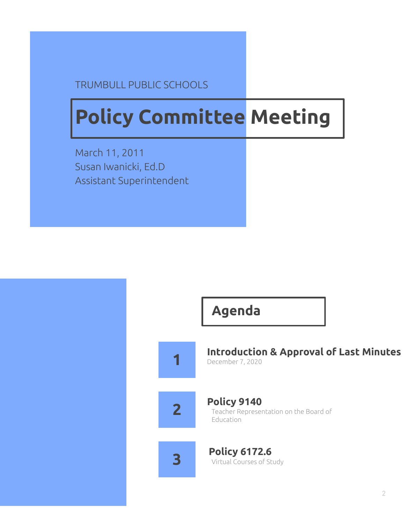#### TRUMBULL PUBLIC SCHOOLS

### **Policy Committee Meeting**

March 11, 2011 Susan Iwanicki, Ed.D Assistant Superintendent

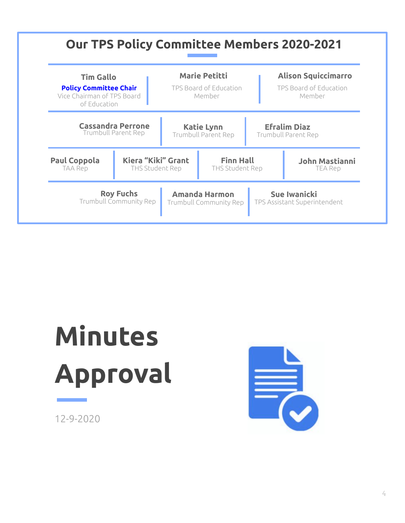

## **Minutes Approval**

12-9-2020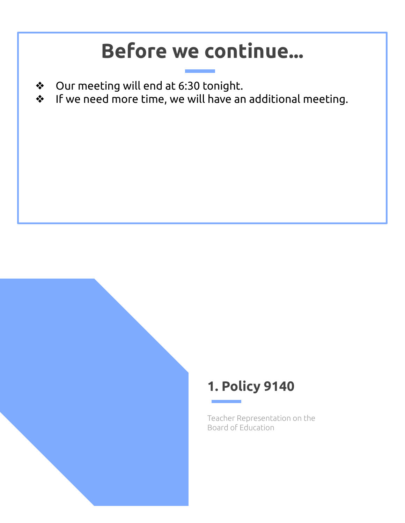#### **Before we continue...**

- ❖ Our meeting will end at 6:30 tonight.
- ❖ If we need more time, we will have an additional meeting.

#### **1. Policy 9140**

Teacher Representation on the Board of Education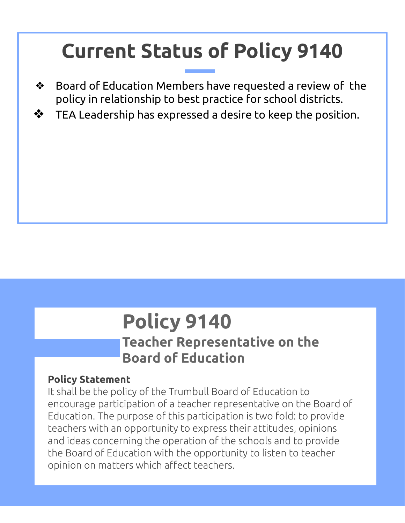### **Current Status of Policy 9140**

- ❖ Board of Education Members have requested a review of the policy in relationship to best practice for school districts.
- $\clubsuit$  TEA Leadership has expressed a desire to keep the position.

### **Policy 9140**

#### **Teacher Representative on the Board of Education**

#### **Policy Statement**

It shall be the policy of the Trumbull Board of Education to encourage participation of a teacher representative on the Board of Education. The purpose of this participation is two fold: to provide teachers with an opportunity to express their attitudes, opinions and ideas concerning the operation of the schools and to provide the Board of Education with the opportunity to listen to teacher opinion on matters which affect teachers.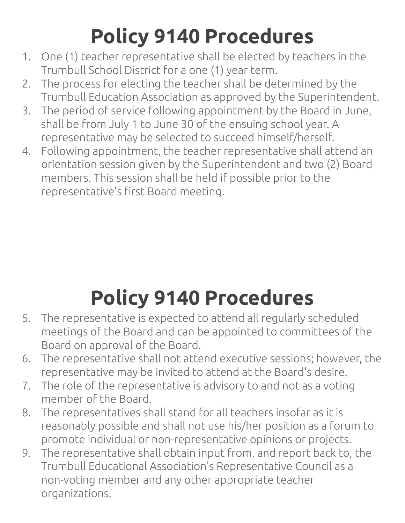### **Policy 9140 Procedures**

- 1. One (1) teacher representative shall be elected by teachers in the Trumbull School District for a one (1) year term.
- 2. The process for electing the teacher shall be determined by the Trumbull Education Association as approved by the Superintendent.
- 3. The period of service following appointment by the Board in June, shall be from July 1 to June 30 of the ensuing school year. A representative may be selected to succeed himself/herself.
- 4. Following appointment, the teacher representative shall attend an orientation session given by the Superintendent and two (2) Board members. This session shall be held if possible prior to the representative's first Board meeting.

### **Policy 9140 Procedures**

- 5. The representative is expected to attend all regularly scheduled meetings of the Board and can be appointed to committees of the Board on approval of the Board.
- 6. The representative shall not attend executive sessions; however, the representative may be invited to attend at the Board's desire.
- 7. The role of the representative is advisory to and not as a voting member of the Board.
- 8. The representatives shall stand for all teachers insofar as it is reasonably possible and shall not use his/her position as a forum to promote individual or non-representative opinions or projects.
- 9. The representative shall obtain input from, and report back to, the Trumbull Educational Association's Representative Council as a non-voting member and any other appropriate teacher organizations.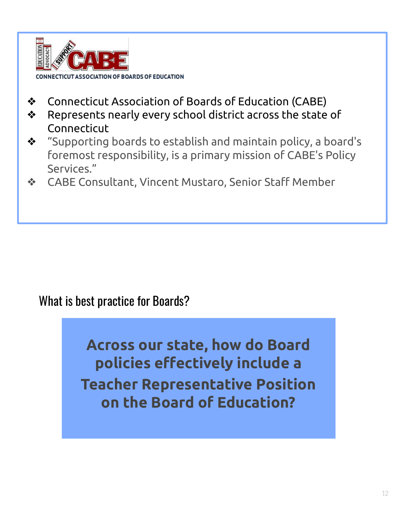

- ❖ Connecticut Association of Boards of Education (CABE)
- ❖ Represents nearly every school district across the state of Connecticut
- ❖ "Supporting boards to establish and maintain policy, a board's foremost responsibility, is a primary mission of CABE's Policy Services."
- ❖ CABE Consultant, Vincent Mustaro, Senior Staff Member

#### What is best practice for Boards?

**Across our state, how do Board policies effectively include a Teacher Representative Position on the Board of Education?**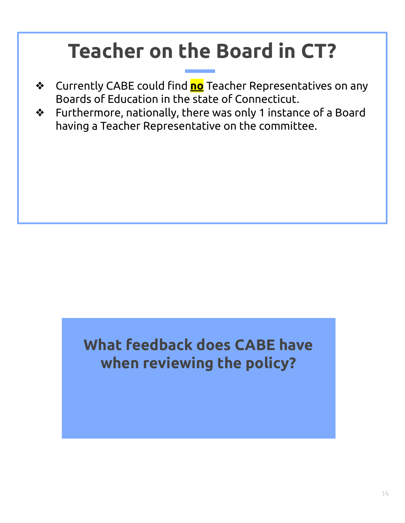### **Teacher on the Board in CT?**

- ❖ Currently CABE could find **no** Teacher Representatives on any Boards of Education in the state of Connecticut.
- ❖ Furthermore, nationally, there was only 1 instance of a Board having a Teacher Representative on the committee.

#### **What feedback does CABE have when reviewing the policy?**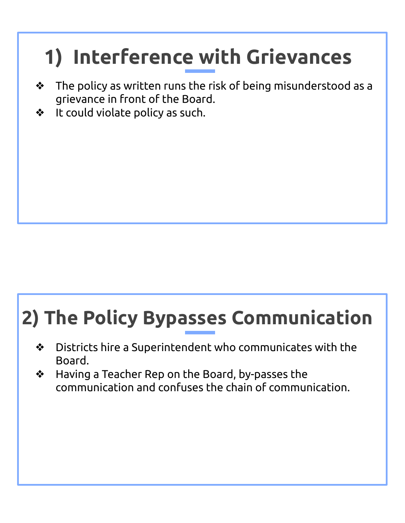### **1) Interference with Grievances**

- ❖ The policy as written runs the risk of being misunderstood as a grievance in front of the Board.
- ❖ It could violate policy as such.

### **2) The Policy Bypasses Communication**

- ❖ Districts hire a Superintendent who communicates with the Board.
- ❖ Having a Teacher Rep on the Board, by-passes the communication and confuses the chain of communication.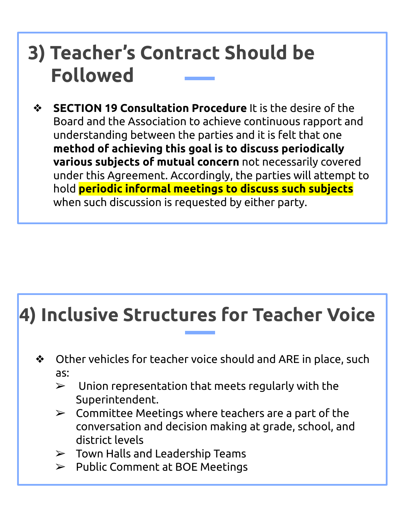#### **3) Teacher's Contract Should be Followed**

❖ **SECTION 19 Consultation Procedure** It is the desire of the Board and the Association to achieve continuous rapport and understanding between the parties and it is felt that one **method of achieving this goal is to discuss periodically various subjects of mutual concern** not necessarily covered under this Agreement. Accordingly, the parties will attempt to hold **periodic informal meetings to discuss such subjects** when such discussion is requested by either party.

#### **4) Inclusive Structures for Teacher Voice**

- ❖ Other vehicles for teacher voice should and ARE in place, such as:
	- $\triangleright$  Union representation that meets regularly with the Superintendent.
	- $\triangleright$  Committee Meetings where teachers are a part of the conversation and decision making at grade, school, and district levels
	- $\triangleright$  Town Halls and Leadership Teams
	- $\triangleright$  Public Comment at BOE Meetings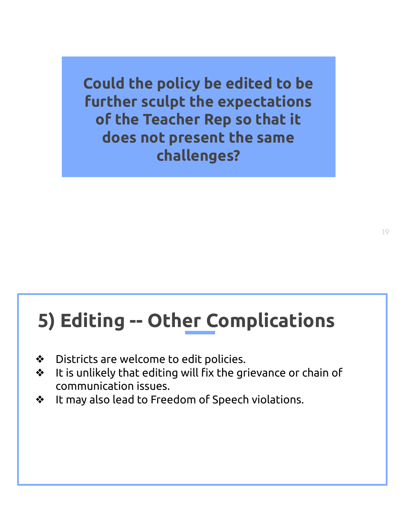**Could the policy be edited to be further sculpt the expectations of the Teacher Rep so that it does not present the same challenges?** 

#### **5) Editing -- Other Complications**

- ❖ Districts are welcome to edit policies.
- ❖ It is unlikely that editing will fix the grievance or chain of communication issues.
- ❖ It may also lead to Freedom of Speech violations.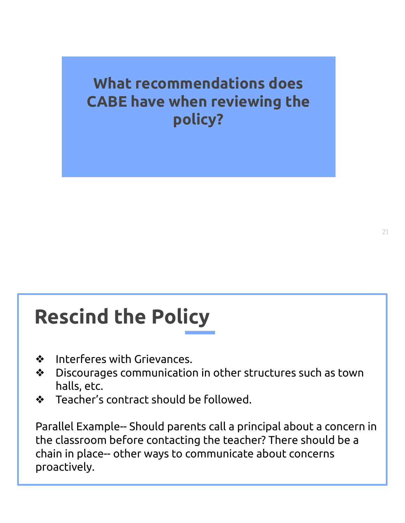**What recommendations does CABE have when reviewing the policy?** 

### **Rescind the Policy**

- ❖ Interferes with Grievances.
- ❖ Discourages communication in other structures such as town halls, etc.
- ❖ Teacher's contract should be followed.

Parallel Example-- Should parents call a principal about a concern in the classroom before contacting the teacher? There should be a chain in place-- other ways to communicate about concerns proactively.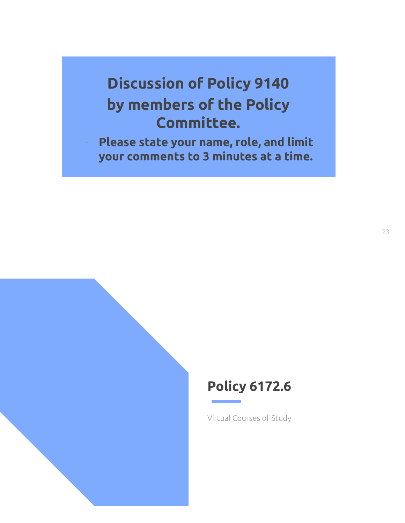#### **Discussion of Policy 9140 by members of the Policy Committee.**

Please state your name, role, and limit **your comments to 3 minutes at a time.** 



Virtual Courses of Study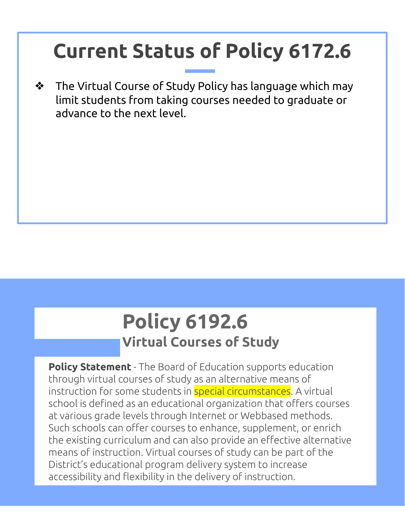### **Current Status of Policy 6172.6**

❖ The Virtual Course of Study Policy has language which may limit students from taking courses needed to graduate or advance to the next level.

#### **Policy 6192.6 Virtual Courses of Study**

**Policy Statement** - The Board of Education supports education through virtual courses of study as an alternative means of instruction for some students in **special circumstances**. A virtual school is defined as an educational organization that offers courses at various grade levels through Internet or Webbased methods. Such schools can offer courses to enhance, supplement, or enrich the existing curriculum and can also provide an effective alternative means of instruction. Virtual courses of study can be part of the District's educational program delivery system to increase accessibility and flexibility in the delivery of instruction.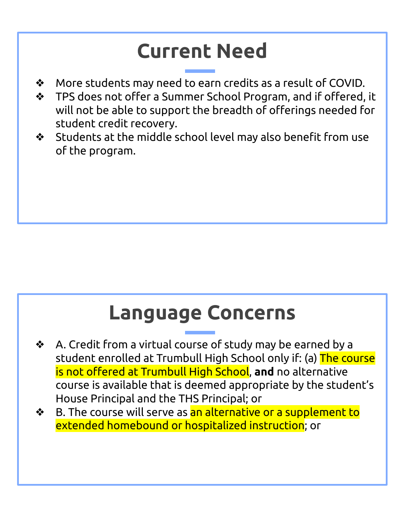### **Current Need**

- ❖ More students may need to earn credits as a result of COVID.
- ❖ TPS does not offer a Summer School Program, and if offered, it will not be able to support the breadth of offerings needed for student credit recovery.
- ❖ Students at the middle school level may also benefit from use of the program.

#### **Language Concerns**

- ❖ A. Credit from a virtual course of study may be earned by a student enrolled at Trumbull High School only if: (a) The course is not offered at Trumbull High School, **and** no alternative course is available that is deemed appropriate by the student's House Principal and the THS Principal; or
- ❖ B. The course will serve as an alternative or a supplement to extended homebound or hospitalized instruction; or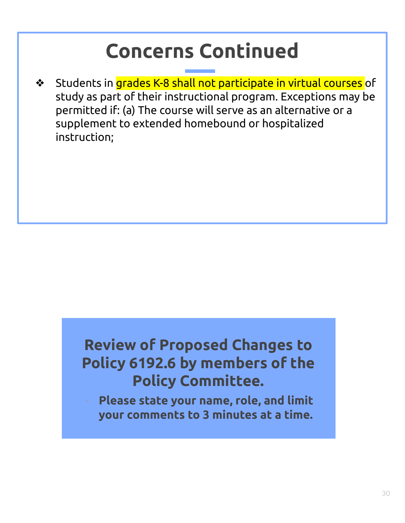### **Concerns Continued**

❖ Students in grades K-8 shall not participate in virtual courses of study as part of their instructional program. Exceptions may be permitted if: (a) The course will serve as an alternative or a supplement to extended homebound or hospitalized instruction;

#### **Review of Proposed Changes to Policy 6192.6 by members of the Policy Committee.**

Please state your name, role, and limit **your comments to 3 minutes at a time.**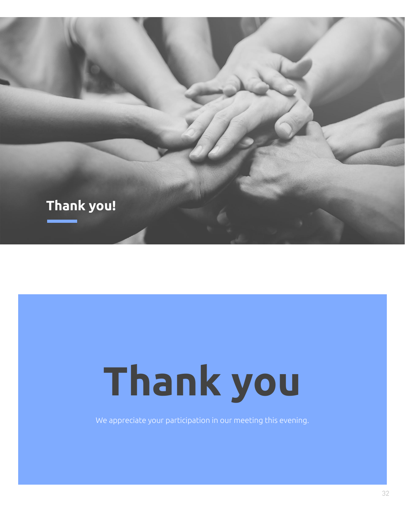

# **Thank you**

We appreciate your participation in our meeting this evening.